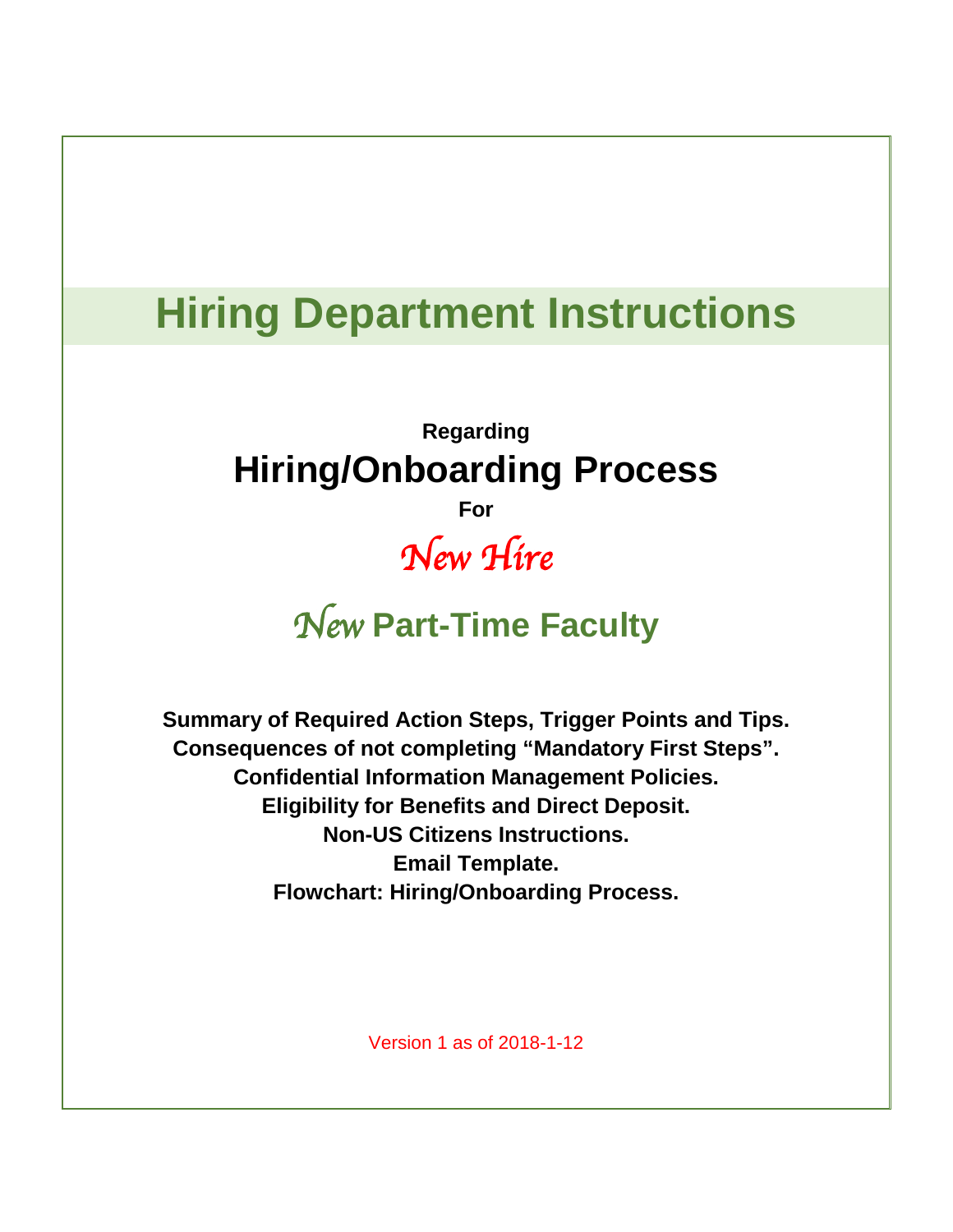# **Hiring Department Instructions**

# **Regarding Hiring/Onboarding Process**

**For** 

# *New Hire*

# *New* **Part-Time Faculty**

**Summary of Required Action Steps, Trigger Points and Tips. Consequences of not completing "Mandatory First Steps". Confidential Information Management Policies. Eligibility for Benefits and Direct Deposit. Non-US Citizens Instructions. Email Template. Flowchart: Hiring/Onboarding Process.**

Version 1 as of 2018-1-12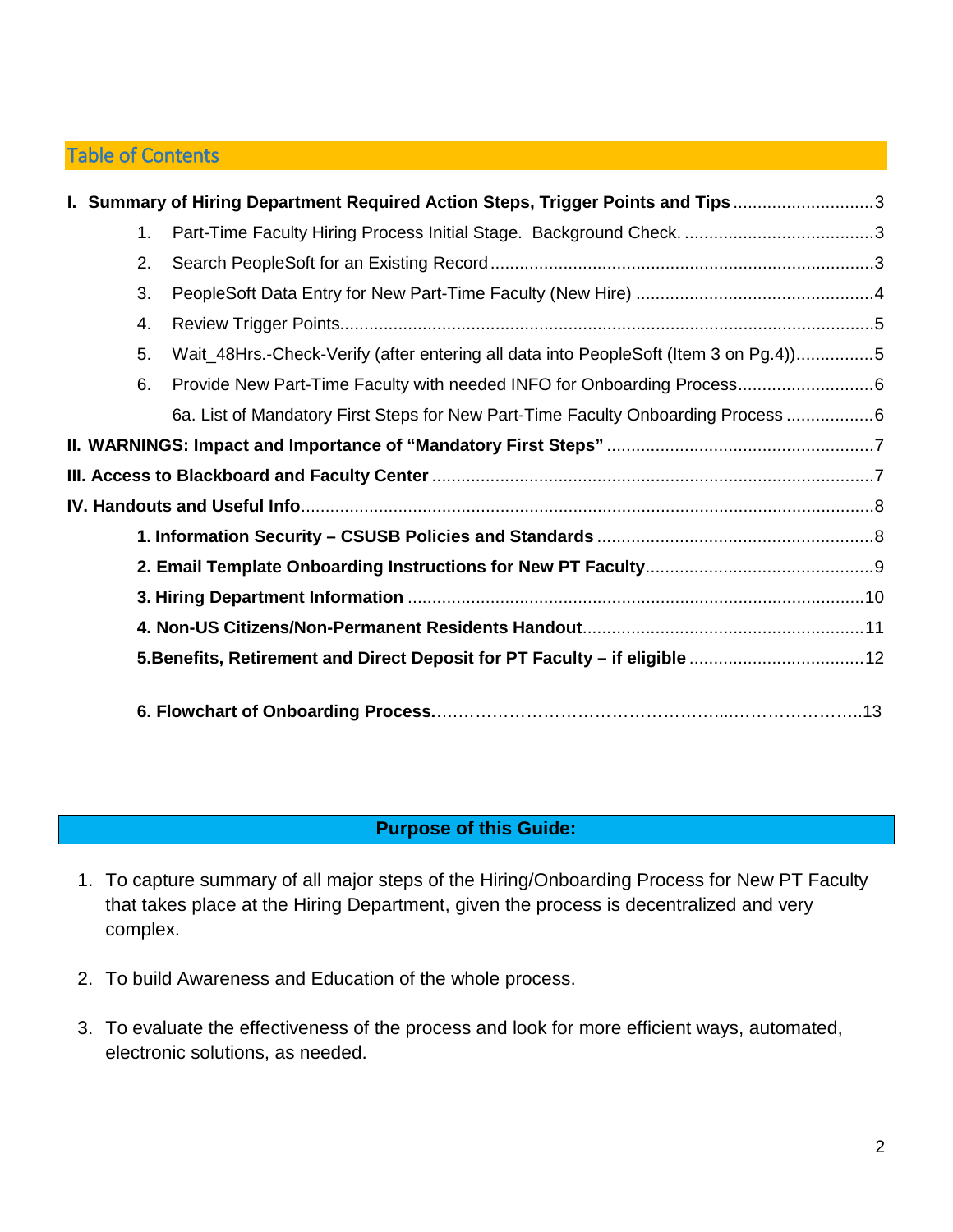## Table of Contents

|                                                                             |    | 1. Summary of Hiring Department Required Action Steps, Trigger Points and Tips3      |  |  |  |
|-----------------------------------------------------------------------------|----|--------------------------------------------------------------------------------------|--|--|--|
|                                                                             | 1. |                                                                                      |  |  |  |
|                                                                             | 2. |                                                                                      |  |  |  |
|                                                                             | 3. |                                                                                      |  |  |  |
|                                                                             | 4. |                                                                                      |  |  |  |
|                                                                             | 5. | Wait_48Hrs.-Check-Verify (after entering all data into PeopleSoft (Item 3 on Pg.4))5 |  |  |  |
|                                                                             | 6. |                                                                                      |  |  |  |
|                                                                             |    | 6a. List of Mandatory First Steps for New Part-Time Faculty Onboarding Process 6     |  |  |  |
|                                                                             |    |                                                                                      |  |  |  |
|                                                                             |    |                                                                                      |  |  |  |
|                                                                             |    |                                                                                      |  |  |  |
|                                                                             |    |                                                                                      |  |  |  |
|                                                                             |    |                                                                                      |  |  |  |
|                                                                             |    |                                                                                      |  |  |  |
|                                                                             |    |                                                                                      |  |  |  |
| 5. Benefits, Retirement and Direct Deposit for PT Faculty - if eligible  12 |    |                                                                                      |  |  |  |
|                                                                             |    |                                                                                      |  |  |  |

## **Purpose of this Guide:**

- 1. To capture summary of all major steps of the Hiring/Onboarding Process for New PT Faculty that takes place at the Hiring Department, given the process is decentralized and very complex.
- 2. To build Awareness and Education of the whole process.
- 3. To evaluate the effectiveness of the process and look for more efficient ways, automated, electronic solutions, as needed.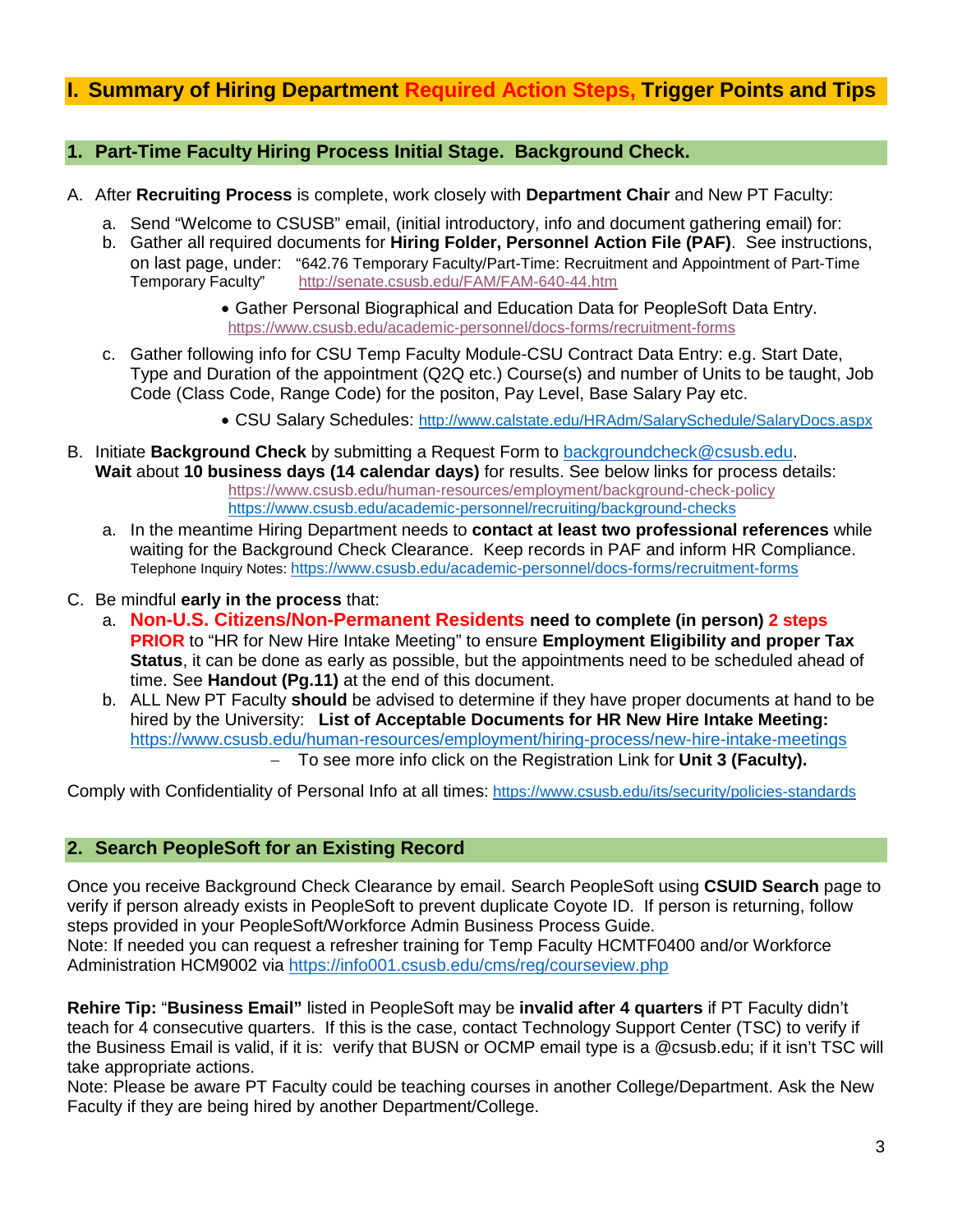# <span id="page-2-0"></span>**I. Summary of Hiring Department Required Action Steps, Trigger Points and Tips**

#### <span id="page-2-1"></span>**1. Part-Time Faculty Hiring Process Initial Stage. Background Check.**

- A. After **Recruiting Process** is complete, work closely with **Department Chair** and New PT Faculty:
	- a. Send "Welcome to CSUSB" email, (initial introductory, info and document gathering email) for:
	- b. Gather all required documents for **Hiring Folder, Personnel Action File (PAF)**. See instructions, on last page, under: "642.76 Temporary Faculty/Part-Time: Recruitment and Appointment of Part-Time<br>Temporary Faculty" http://senate.csusb.edu/FAM/FAM-640-44.htm http://senate.csusb.edu/FAM/FAM-640-44.htm

• Gather Personal Biographical and Education Data for PeopleSoft Data Entry. <https://www.csusb.edu/academic-personnel/docs-forms/recruitment-forms>

- c. Gather following info for CSU Temp Faculty Module-CSU Contract Data Entry: e.g. Start Date, Type and Duration of the appointment (Q2Q etc.) Course(s) and number of Units to be taught, Job Code (Class Code, Range Code) for the positon, Pay Level, Base Salary Pay etc.
	- CSU Salary Schedules:<http://www.calstate.edu/HRAdm/SalarySchedule/SalaryDocs.aspx>
- B. Initiate **Background Check** by submitting a Request Form to [backgroundcheck@csusb.edu.](mailto:backgroundcheck@csusb.edu) **Wait** about **10 business days (14 calendar days)** for results. See below links for process details: <https://www.csusb.edu/human-resources/employment/background-check-policy> <https://www.csusb.edu/academic-personnel/recruiting/background-checks>
	- a. In the meantime Hiring Department needs to **contact at least two professional references** while waiting for the Background Check Clearance. Keep records in PAF and inform HR Compliance. Telephone Inquiry Notes: <https://www.csusb.edu/academic-personnel/docs-forms/recruitment-forms>
- C. Be mindful **early in the process** that:
	- a. **Non-U.S. Citizens/Non-Permanent Residents need to complete (in person) 2 steps PRIOR** to "HR for New Hire Intake Meeting" to ensure **Employment Eligibility and proper Tax Status**, it can be done as early as possible, but the appointments need to be scheduled ahead of time. See **Handout (Pg.11)** at the end of this document.
	- b. ALL New PT Faculty **should** be advised to determine if they have proper documents at hand to be hired by the University: **List of Acceptable Documents for HR New Hire Intake Meeting:**  <https://www.csusb.edu/human-resources/employment/hiring-process/new-hire-intake-meetings> − To see more info click on the Registration Link for **Unit 3 (Faculty).**

Comply with Confidentiality of Personal Info at all times: <https://www.csusb.edu/its/security/policies-standards>

#### <span id="page-2-2"></span>**2. Search PeopleSoft for an Existing Record**

Once you receive Background Check Clearance by email. Search PeopleSoft using **CSUID Search** page to verify if person already exists in PeopleSoft to prevent duplicate Coyote ID. If person is returning, follow steps provided in your PeopleSoft/Workforce Admin Business Process Guide. Note: If needed you can request a refresher training for Temp Faculty HCMTF0400 and/or Workforce Administration HCM9002 via<https://info001.csusb.edu/cms/reg/courseview.php>

**Rehire Tip:** "**Business Email"** listed in PeopleSoft may be **invalid after 4 quarters** if PT Faculty didn't teach for 4 consecutive quarters. If this is the case, contact Technology Support Center (TSC) to verify if the Business Email is valid, if it is: verify that BUSN or OCMP email type is a @csusb.edu; if it isn't TSC will take appropriate actions.

Note: Please be aware PT Faculty could be teaching courses in another College/Department. Ask the New Faculty if they are being hired by another Department/College.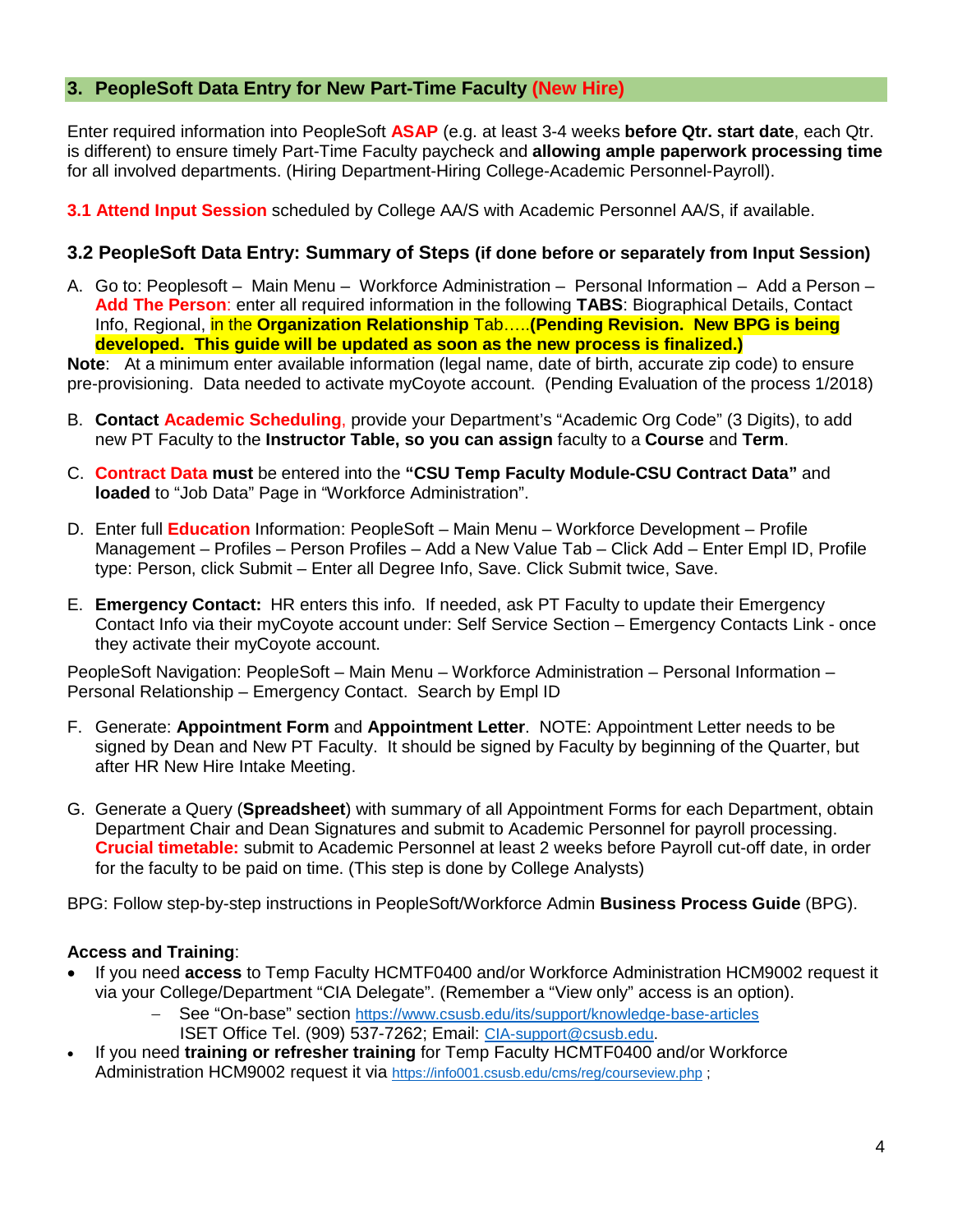### <span id="page-3-0"></span>**3. PeopleSoft Data Entry for New Part-Time Faculty (New Hire)**

Enter required information into PeopleSoft **ASAP** (e.g. at least 3-4 weeks **before Qtr. start date**, each Qtr. is different) to ensure timely Part-Time Faculty paycheck and **allowing ample paperwork processing time** for all involved departments. (Hiring Department-Hiring College-Academic Personnel-Payroll).

**3.1 Attend Input Session** scheduled by College AA/S with Academic Personnel AA/S, if available.

#### **3.2 PeopleSoft Data Entry: Summary of Steps (if done before or separately from Input Session)**

A. Go to: Peoplesoft – Main Menu – Workforce Administration – Personal Information – Add a Person – **Add The Person**: enter all required information in the following **TABS**: Biographical Details, Contact Info, Regional, in the **Organization Relationship** Tab…..**(Pending Revision. New BPG is being developed. This guide will be updated as soon as the new process is finalized.)**

**Note**: At a minimum enter available information (legal name, date of birth, accurate zip code) to ensure pre-provisioning. Data needed to activate myCoyote account. (Pending Evaluation of the process 1/2018)

- B. **Contact Academic Scheduling**, provide your Department's "Academic Org Code" (3 Digits), to add new PT Faculty to the **Instructor Table, so you can assign** faculty to a **Course** and **Term**.
- C. **Contract Data must** be entered into the **"CSU Temp Faculty Module-CSU Contract Data"** and **loaded** to "Job Data" Page in "Workforce Administration".
- D. Enter full **Education** Information: PeopleSoft Main Menu Workforce Development Profile Management – Profiles – Person Profiles – Add a New Value Tab – Click Add – Enter Empl ID, Profile type: Person, click Submit – Enter all Degree Info, Save. Click Submit twice, Save.
- E. **Emergency Contact:** HR enters this info. If needed, ask PT Faculty to update their Emergency Contact Info via their myCoyote account under: Self Service Section – Emergency Contacts Link - once they activate their myCoyote account.

PeopleSoft Navigation: PeopleSoft – Main Menu – Workforce Administration – Personal Information – Personal Relationship – Emergency Contact. Search by Empl ID

- F. Generate: **Appointment Form** and **Appointment Letter**. NOTE: Appointment Letter needs to be signed by Dean and New PT Faculty. It should be signed by Faculty by beginning of the Quarter, but after HR New Hire Intake Meeting.
- G. Generate a Query (**Spreadsheet**) with summary of all Appointment Forms for each Department, obtain Department Chair and Dean Signatures and submit to Academic Personnel for payroll processing. **Crucial timetable:** submit to Academic Personnel at least 2 weeks before Payroll cut-off date, in order for the faculty to be paid on time. (This step is done by College Analysts)

BPG: Follow step-by-step instructions in PeopleSoft/Workforce Admin **Business Process Guide** (BPG).

#### **Access and Training**:

- If you need **access** to Temp Faculty HCMTF0400 and/or Workforce Administration HCM9002 request it via your College/Department "CIA Delegate". (Remember a "View only" access is an option).
	- See "On-base" section <https://www.csusb.edu/its/support/knowledge-base-articles> ISET Office Tel. (909) 537-7262; Email: [CIA-support@csusb.edu.](mailto:CIA-support@csusb.edu)
- If you need **training or refresher training** for Temp Faculty HCMTF0400 and/or Workforce Administration HCM9002 request it via<https://info001.csusb.edu/cms/reg/courseview.php> ;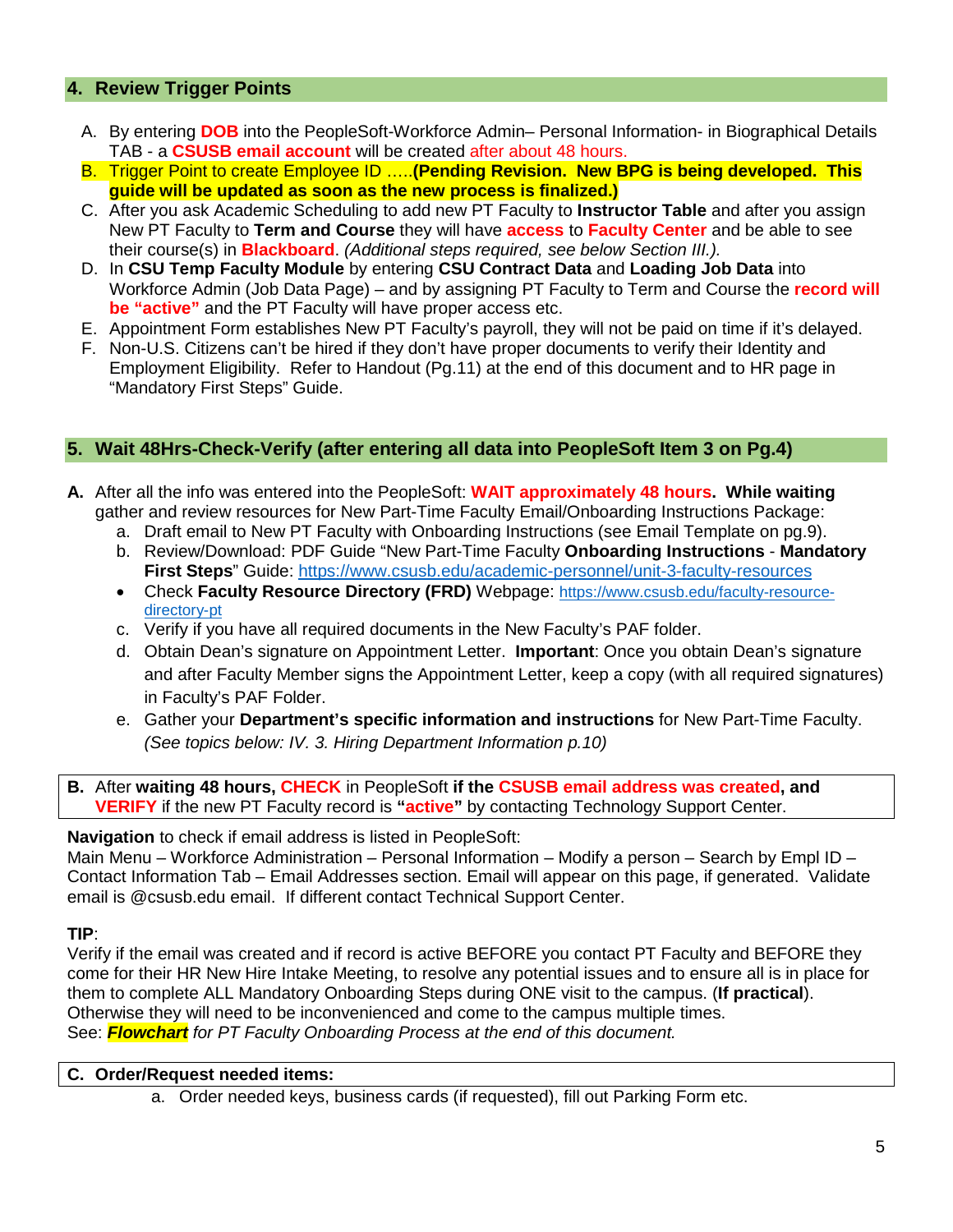### <span id="page-4-0"></span>**4. Review Trigger Points**

- A. By entering **DOB** into the PeopleSoft-Workforce Admin– Personal Information- in Biographical Details TAB - a **CSUSB email account** will be created after about 48 hours.
- B. Trigger Point to create Employee ID …..**(Pending Revision. New BPG is being developed. This guide will be updated as soon as the new process is finalized.)**
- C. After you ask Academic Scheduling to add new PT Faculty to **Instructor Table** and after you assign New PT Faculty to **Term and Course** they will have **access** to **Faculty Center** and be able to see their course(s) in **Blackboard**. *(Additional steps required, see below Section III.).*
- D. In **CSU Temp Faculty Module** by entering **CSU Contract Data** and **Loading Job Data** into Workforce Admin (Job Data Page) – and by assigning PT Faculty to Term and Course the **record will be "active"** and the PT Faculty will have proper access etc.
- E. Appointment Form establishes New PT Faculty's payroll, they will not be paid on time if it's delayed.
- F. Non-U.S. Citizens can't be hired if they don't have proper documents to verify their Identity and Employment Eligibility. Refer to Handout (Pg.11) at the end of this document and to HR page in "Mandatory First Steps" Guide.

#### <span id="page-4-1"></span>**5. Wait 48Hrs-Check-Verify (after entering all data into PeopleSoft Item 3 on Pg.4)**

- **A.** After all the info was entered into the PeopleSoft: **WAIT approximately 48 hours. While waiting** gather and review resources for New Part-Time Faculty Email/Onboarding Instructions Package:
	- a. Draft email to New PT Faculty with Onboarding Instructions (see Email Template on pg.9).
	- b. Review/Download: PDF Guide "New Part-Time Faculty **Onboarding Instructions Mandatory First Steps**" Guide:<https://www.csusb.edu/academic-personnel/unit-3-faculty-resources>
	- Check **Faculty Resource Directory (FRD)** Webpage: [https://www.csusb.edu/faculty-resource](https://www.csusb.edu/faculty-resource-directory-pt)[directory-pt](https://www.csusb.edu/faculty-resource-directory-pt)
	- c. Verify if you have all required documents in the New Faculty's PAF folder.
	- d. Obtain Dean's signature on Appointment Letter. **Important**: Once you obtain Dean's signature and after Faculty Member signs the Appointment Letter, keep a copy (with all required signatures) in Faculty's PAF Folder.
	- e. Gather your **Department's specific information and instructions** for New Part-Time Faculty. *(See topics below: IV. 3. Hiring Department Information p.10)*

**B.** After **waiting 48 hours, CHECK** in PeopleSoft **if the CSUSB email address was created, and VERIFY** if the new PT Faculty record is **"active"** by contacting Technology Support Center.

**Navigation** to check if email address is listed in PeopleSoft:

Main Menu – Workforce Administration – Personal Information – Modify a person – Search by Empl ID – Contact Information Tab – Email Addresses section. Email will appear on this page, if generated. Validate email is @csusb.edu email. If different contact Technical Support Center.

#### **TIP**:

Verify if the email was created and if record is active BEFORE you contact PT Faculty and BEFORE they come for their HR New Hire Intake Meeting, to resolve any potential issues and to ensure all is in place for them to complete ALL Mandatory Onboarding Steps during ONE visit to the campus. (**If practical**). Otherwise they will need to be inconvenienced and come to the campus multiple times. See: *Flowchart for PT Faculty Onboarding Process at the end of this document.* 

#### **C. Order/Request needed items:**

a. Order needed keys, business cards (if requested), fill out Parking Form etc.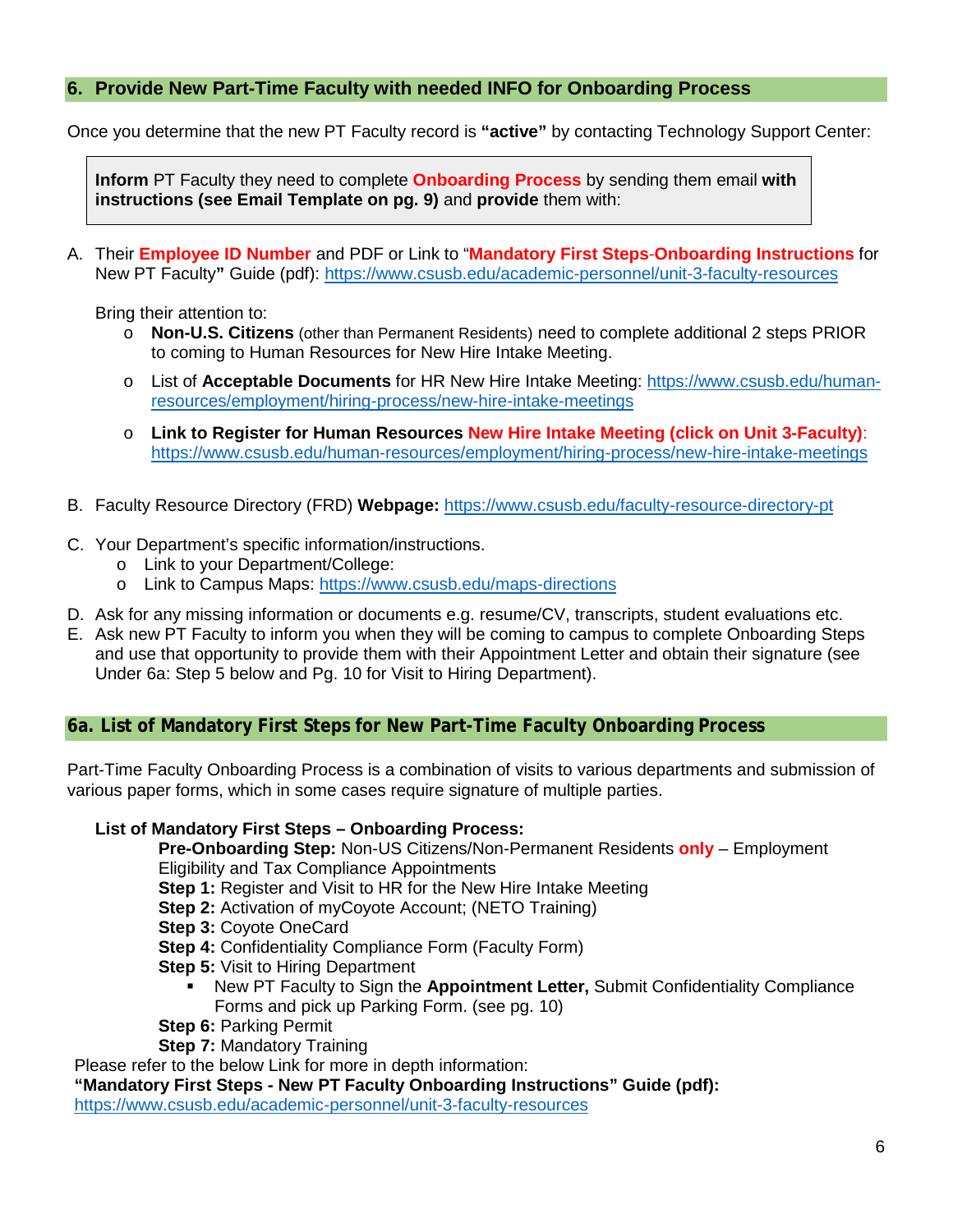## <span id="page-5-0"></span>**6. Provide New Part-Time Faculty with needed INFO for Onboarding Process**

Once you determine that the new PT Faculty record is **"active"** by contacting Technology Support Center:

**Inform** PT Faculty they need to complete **Onboarding Process** by sending them email **with instructions (see Email Template on pg. 9)** and **provide** them with:

A. Their **Employee ID Number** and PDF or Link to "**Mandatory First Steps**-**Onboarding Instructions** for New PT Faculty**"** Guide (pdf):<https://www.csusb.edu/academic-personnel/unit-3-faculty-resources>

Bring their attention to:

- o **Non-U.S. Citizens** (other than Permanent Residents) need to complete additional 2 steps PRIOR to coming to Human Resources for New Hire Intake Meeting.
- o List of **Acceptable Documents** for HR New Hire Intake Meeting: [https://www.csusb.edu/human](https://www.csusb.edu/human-resources/employment/hiring-process/new-hire-intake-meetings)[resources/employment/hiring-process/new-hire-intake-meetings](https://www.csusb.edu/human-resources/employment/hiring-process/new-hire-intake-meetings)
- o **Link to Register for Human Resources New Hire Intake Meeting (click on Unit 3-Faculty)**: <https://www.csusb.edu/human-resources/employment/hiring-process/new-hire-intake-meetings>
- B. Faculty Resource Directory (FRD) **Webpage:** <https://www.csusb.edu/faculty-resource-directory-pt>
- C. Your Department's specific information/instructions.
	- o Link to your Department/College:
	- o Link to Campus Maps: <https://www.csusb.edu/maps-directions>
- D. Ask for any missing information or documents e.g. resume/CV, transcripts, student evaluations etc.
- E. Ask new PT Faculty to inform you when they will be coming to campus to complete Onboarding Steps and use that opportunity to provide them with their Appointment Letter and obtain their signature (see Under 6a: Step 5 below and Pg. 10 for Visit to Hiring Department).

#### <span id="page-5-1"></span>**6a. List of Mandatory First Steps for New Part-Time Faculty Onboarding Process**

Part-Time Faculty Onboarding Process is a combination of visits to various departments and submission of various paper forms, which in some cases require signature of multiple parties.

#### **List of Mandatory First Steps – Onboarding Process:**

**Pre-Onboarding Step:** Non-US Citizens/Non-Permanent Residents **only** – Employment Eligibility and Tax Compliance Appointments

**Step 1:** Register and Visit to HR for the New Hire Intake Meeting

- **Step 2:** Activation of myCoyote Account; (NETO Training)
- **Step 3:** Coyote OneCard
- **Step 4: Confidentiality Compliance Form (Faculty Form)**
- **Step 5: Visit to Hiring Department** 
	- New PT Faculty to Sign the **Appointment Letter,** Submit Confidentiality Compliance Forms and pick up Parking Form. (see pg. 10)
- **Step 6:** Parking Permit

**Step 7:** Mandatory Training

Please refer to the below Link for more in depth information:

**"Mandatory First Steps - New PT Faculty Onboarding Instructions" Guide (pdf):**  <https://www.csusb.edu/academic-personnel/unit-3-faculty-resources>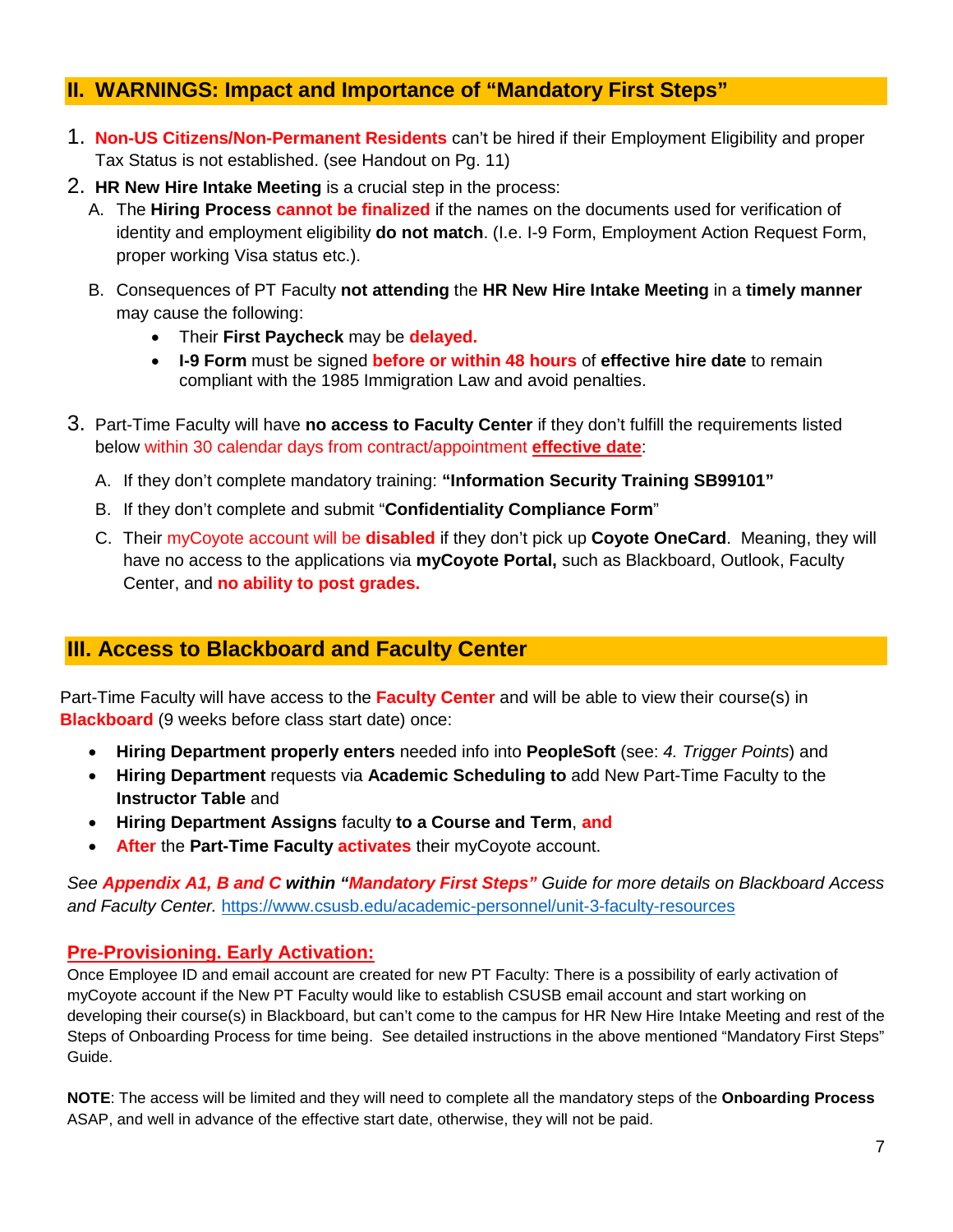# <span id="page-6-0"></span>**II. WARNINGS: Impact and Importance of "Mandatory First Steps"**

- 1. **Non-US Citizens/Non-Permanent Residents** can't be hired if their Employment Eligibility and proper Tax Status is not established. (see Handout on Pg. 11)
- 2. **HR New Hire Intake Meeting** is a crucial step in the process:
	- A. The **Hiring Process cannot be finalized** if the names on the documents used for verification of identity and employment eligibility **do not match**. (I.e. I-9 Form, Employment Action Request Form, proper working Visa status etc.).
	- B. Consequences of PT Faculty **not attending** the **HR New Hire Intake Meeting** in a **timely manner** may cause the following:
		- Their **First Paycheck** may be **delayed.**
		- **I-9 Form** must be signed **before or within 48 hours** of **effective hire date** to remain compliant with the 1985 Immigration Law and avoid penalties.
- 3. Part-Time Faculty will have **no access to Faculty Center** if they don't fulfill the requirements listed below within 30 calendar days from contract/appointment **effective date**:
	- A. If they don't complete mandatory training: **"Information Security Training SB99101"**
	- B. If they don't complete and submit "**Confidentiality Compliance Form**"
	- C. Their myCoyote account will be **disabled** if they don't pick up **Coyote OneCard**. Meaning, they will have no access to the applications via **myCoyote Portal,** such as Blackboard, Outlook, Faculty Center, and **no ability to post grades.**

## <span id="page-6-1"></span>**III. Access to Blackboard and Faculty Center**

Part-Time Faculty will have access to the **Faculty Center** and will be able to view their course(s) in **Blackboard** (9 weeks before class start date) once:

- **Hiring Department properly enters** needed info into **PeopleSoft** (see: *4. Trigger Points*) and
- **Hiring Department** requests via **Academic Scheduling to** add New Part-Time Faculty to the **Instructor Table** and
- **Hiring Department Assigns** faculty **to a Course and Term**, **and**
- **After** the **Part-Time Faculty activates** their myCoyote account.

*See Appendix A1, B and C within "Mandatory First Steps" Guide for more details on Blackboard Access and Faculty Center.* <https://www.csusb.edu/academic-personnel/unit-3-faculty-resources>

## **Pre-Provisioning. Early Activation:**

Once Employee ID and email account are created for new PT Faculty: There is a possibility of early activation of myCoyote account if the New PT Faculty would like to establish CSUSB email account and start working on developing their course(s) in Blackboard, but can't come to the campus for HR New Hire Intake Meeting and rest of the Steps of Onboarding Process for time being. See detailed instructions in the above mentioned "Mandatory First Steps" Guide.

**NOTE**: The access will be limited and they will need to complete all the mandatory steps of the **Onboarding Process** ASAP, and well in advance of the effective start date, otherwise, they will not be paid.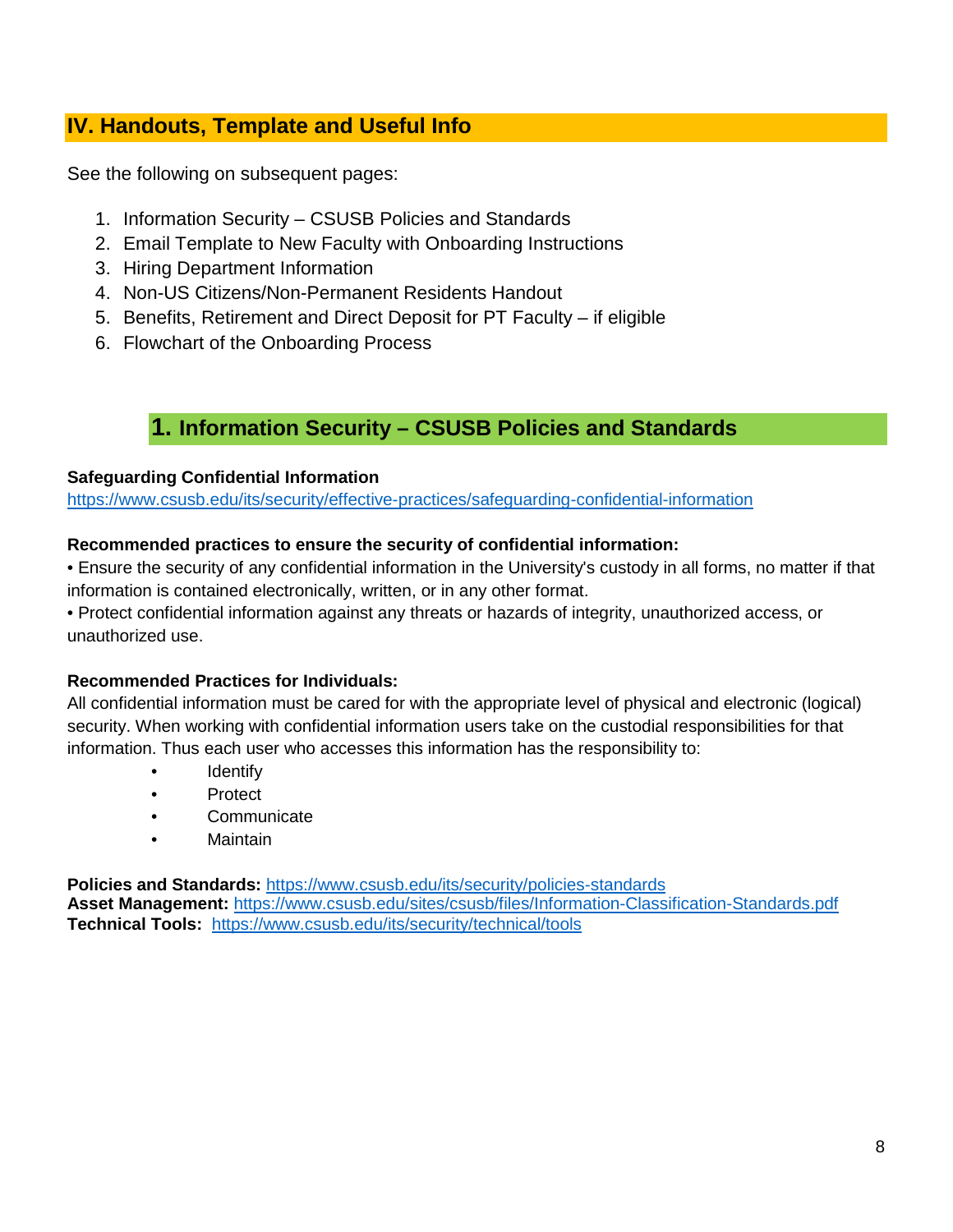# <span id="page-7-0"></span>**IV. Handouts, Template and Useful Info**

See the following on subsequent pages:

- 1. Information Security CSUSB Policies and Standards
- 2. Email Template to New Faculty with Onboarding Instructions
- 3. Hiring Department Information
- 4. Non-US Citizens/Non-Permanent Residents Handout
- 5. Benefits, Retirement and Direct Deposit for PT Faculty if eligible
- 6. Flowchart of the Onboarding Process

# **1. Information Security – CSUSB Policies and Standards**

#### <span id="page-7-1"></span>**Safeguarding Confidential Information**

<https://www.csusb.edu/its/security/effective-practices/safeguarding-confidential-information>

#### **Recommended practices to ensure the security of confidential information:**

• Ensure the security of any confidential information in the University's custody in all forms, no matter if that information is contained electronically, written, or in any other format.

• Protect confidential information against any threats or hazards of integrity, unauthorized access, or unauthorized use.

#### **Recommended Practices for Individuals:**

All confidential information must be cared for with the appropriate level of physical and electronic (logical) security. When working with confidential information users take on the custodial responsibilities for that information. Thus each user who accesses this information has the responsibility to:

- **Identify**
- Protect
- Communicate
- Maintain

**Policies and Standards:** <https://www.csusb.edu/its/security/policies-standards>

**Asset Management:** <https://www.csusb.edu/sites/csusb/files/Information-Classification-Standards.pdf> **Technical Tools:** <https://www.csusb.edu/its/security/technical/tools>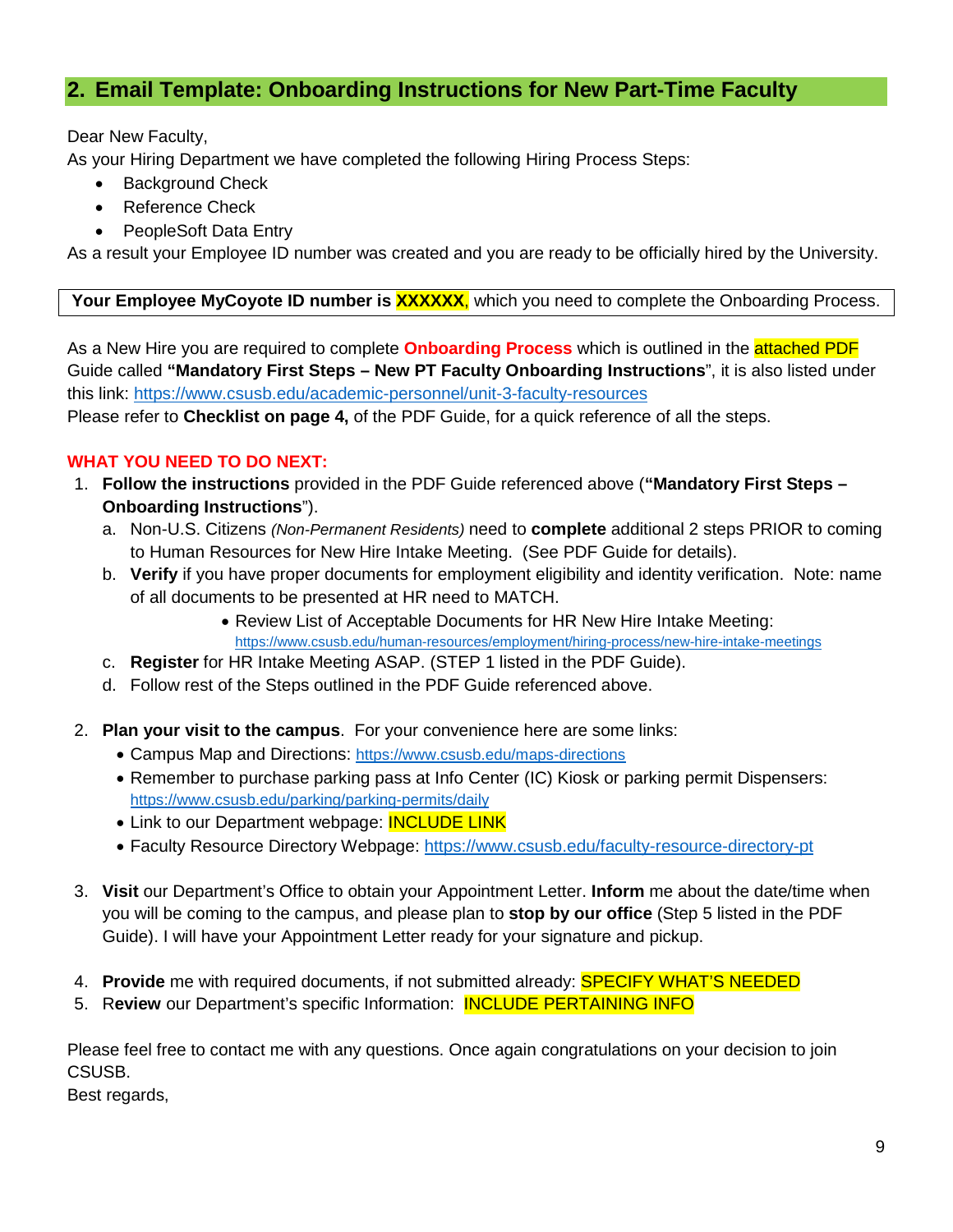# <span id="page-8-0"></span>**2. Email Template: Onboarding Instructions for New Part-Time Faculty**

#### Dear New Faculty,

As your Hiring Department we have completed the following Hiring Process Steps:

- **Background Check**
- Reference Check
- PeopleSoft Data Entry

As a result your Employee ID number was created and you are ready to be officially hired by the University.

#### **Your Employee MyCoyote ID number is XXXXXX**, which you need to complete the Onboarding Process.

As a New Hire you are required to complete **Onboarding Process** which is outlined in the attached PDF Guide called **"Mandatory First Steps – New PT Faculty Onboarding Instructions**", it is also listed under this link:<https://www.csusb.edu/academic-personnel/unit-3-faculty-resources>

Please refer to **Checklist on page 4,** of the PDF Guide, for a quick reference of all the steps.

#### **WHAT YOU NEED TO DO NEXT:**

- 1. **Follow the instructions** provided in the PDF Guide referenced above (**"Mandatory First Steps – Onboarding Instructions**").
	- a. Non-U.S. Citizens *(Non-Permanent Residents)* need to **complete** additional 2 steps PRIOR to coming to Human Resources for New Hire Intake Meeting. (See PDF Guide for details).
	- b. **Verify** if you have proper documents for employment eligibility and identity verification. Note: name of all documents to be presented at HR need to MATCH.
		- Review List of Acceptable Documents for HR New Hire Intake Meeting: <https://www.csusb.edu/human-resources/employment/hiring-process/new-hire-intake-meetings>
	- c. **Register** for HR Intake Meeting ASAP. (STEP 1 listed in the PDF Guide).
	- d. Follow rest of the Steps outlined in the PDF Guide referenced above.
- 2. **Plan your visit to the campus**. For your convenience here are some links:
	- Campus Map and Directions:<https://www.csusb.edu/maps-directions>
	- Remember to purchase parking pass at Info Center (IC) Kiosk or parking permit Dispensers: <https://www.csusb.edu/parking/parking-permits/daily>
	- Link to our Department webpage: **INCLUDE LINK**
	- Faculty Resource Directory Webpage:<https://www.csusb.edu/faculty-resource-directory-pt>
- 3. **Visit** our Department's Office to obtain your Appointment Letter. **Inform** me about the date/time when you will be coming to the campus, and please plan to **stop by our office** (Step 5 listed in the PDF Guide). I will have your Appointment Letter ready for your signature and pickup.
- 4. **Provide** me with required documents, if not submitted already: SPECIFY WHAT'S NEEDED
- 5. R**eview** our Department's specific Information: INCLUDE PERTAINING INFO

Please feel free to contact me with any questions. Once again congratulations on your decision to join CSUSB.

Best regards,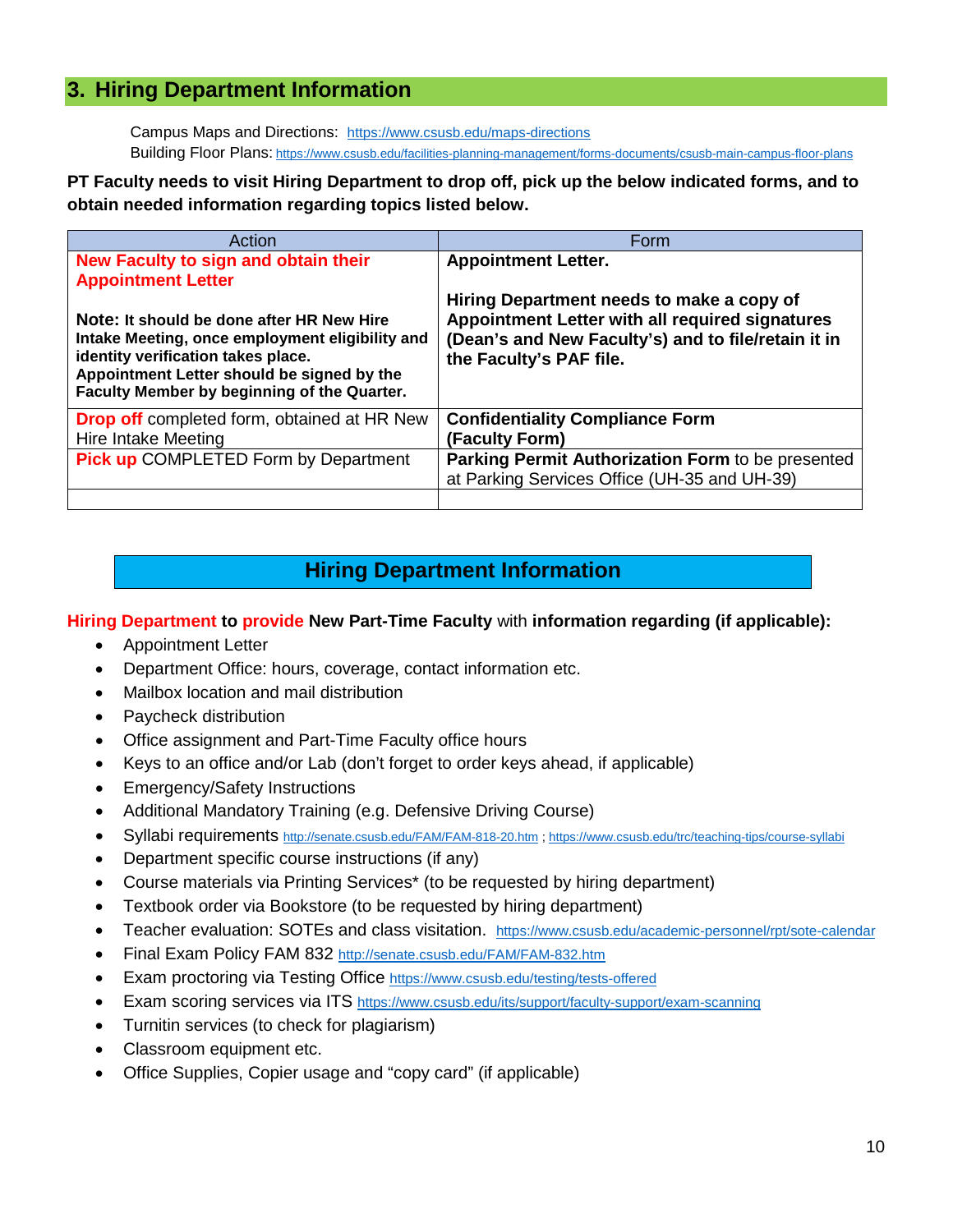## <span id="page-9-0"></span>**3. Hiring Department Information**

Campus Maps and Directions: <https://www.csusb.edu/maps-directions> Building Floor Plans: <https://www.csusb.edu/facilities-planning-management/forms-documents/csusb-main-campus-floor-plans>

#### **PT Faculty needs to visit Hiring Department to drop off, pick up the below indicated forms, and to obtain needed information regarding topics listed below.**

| Action                                                                                                                                                                                                                          | Form                                                                                                                                                                           |
|---------------------------------------------------------------------------------------------------------------------------------------------------------------------------------------------------------------------------------|--------------------------------------------------------------------------------------------------------------------------------------------------------------------------------|
| New Faculty to sign and obtain their                                                                                                                                                                                            | <b>Appointment Letter.</b>                                                                                                                                                     |
| <b>Appointment Letter</b>                                                                                                                                                                                                       |                                                                                                                                                                                |
| Note: It should be done after HR New Hire<br>Intake Meeting, once employment eligibility and<br>identity verification takes place.<br>Appointment Letter should be signed by the<br>Faculty Member by beginning of the Quarter. | Hiring Department needs to make a copy of<br>Appointment Letter with all required signatures<br>(Dean's and New Faculty's) and to file/retain it in<br>the Faculty's PAF file. |
| <b>Drop off</b> completed form, obtained at HR New<br>Hire Intake Meeting                                                                                                                                                       | <b>Confidentiality Compliance Form</b><br>(Faculty Form)                                                                                                                       |
| <b>Pick up COMPLETED Form by Department</b>                                                                                                                                                                                     | Parking Permit Authorization Form to be presented                                                                                                                              |
|                                                                                                                                                                                                                                 | at Parking Services Office (UH-35 and UH-39)                                                                                                                                   |
|                                                                                                                                                                                                                                 |                                                                                                                                                                                |

# **Hiring Department Information**

#### **Hiring Department to provide New Part-Time Faculty** with **information regarding (if applicable):**

- Appointment Letter
- Department Office: hours, coverage, contact information etc.
- Mailbox location and mail distribution
- Paycheck distribution
- Office assignment and Part-Time Faculty office hours
- Keys to an office and/or Lab (don't forget to order keys ahead, if applicable)
- Emergency/Safety Instructions
- Additional Mandatory Training (e.g. Defensive Driving Course)
- Syllabi requirements<http://senate.csusb.edu/FAM/FAM-818-20.htm> [; https://www.csusb.edu/trc/teaching-tips/course-syllabi](https://www.csusb.edu/trc/teaching-tips/course-syllabi)
- Department specific course instructions (if any)
- Course materials via Printing Services\* (to be requested by hiring department)
- Textbook order via Bookstore (to be requested by hiring department)
- Teacher evaluation: SOTEs and class visitation. <https://www.csusb.edu/academic-personnel/rpt/sote-calendar>
- Final Exam Policy FAM 832<http://senate.csusb.edu/FAM/FAM-832.htm>
- Exam proctoring via Testing Office<https://www.csusb.edu/testing/tests-offered>
- Exam scoring services via ITS<https://www.csusb.edu/its/support/faculty-support/exam-scanning>
- Turnitin services (to check for plagiarism)
- Classroom equipment etc.
- Office Supplies, Copier usage and "copy card" (if applicable)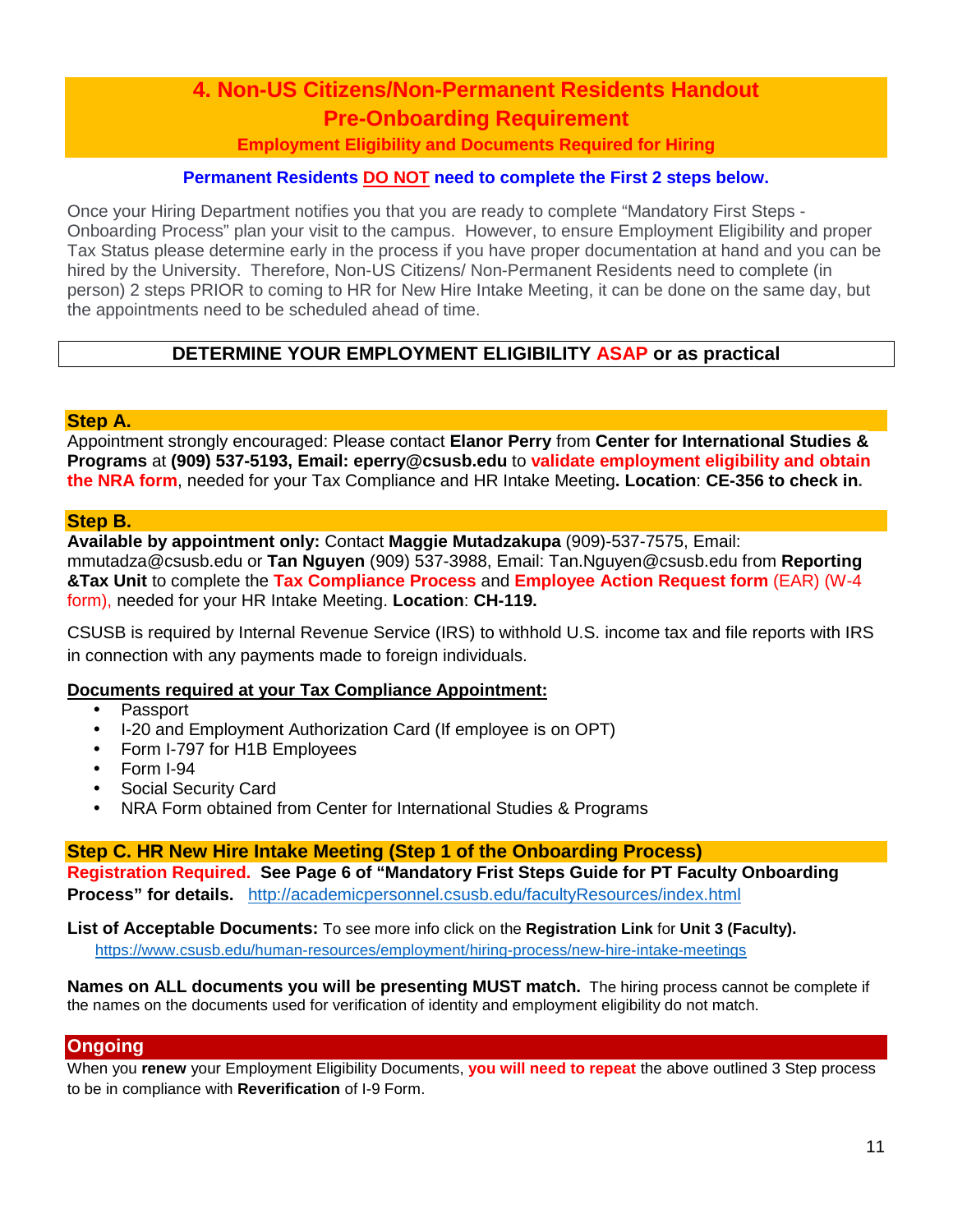# <span id="page-10-0"></span>**4. Non-US Citizens/Non-Permanent Residents Handout Pre-Onboarding Requirement**

## **Employment Eligibility and Documents Required for Hiring**

#### **Permanent Residents DO NOT need to complete the First 2 steps below.**

Once your Hiring Department notifies you that you are ready to complete "Mandatory First Steps - Onboarding Process" plan your visit to the campus. However, to ensure Employment Eligibility and proper Tax Status please determine early in the process if you have proper documentation at hand and you can be hired by the University. Therefore, Non-US Citizens/ Non-Permanent Residents need to complete (in person) 2 steps PRIOR to coming to HR for New Hire Intake Meeting, it can be done on the same day, but the appointments need to be scheduled ahead of time.

## **DETERMINE YOUR EMPLOYMENT ELIGIBILITY ASAP or as practical**

#### **Step A.**

Appointment strongly encouraged: Please contact **Elanor Perry** from **Center for International Studies & Programs** at **(909) 537-5193, Email: eperry@csusb.edu** to **validate employment eligibility and obtain the NRA form**, needed for your Tax Compliance and HR Intake Meeting**. Location**: **CE-356 to check in.**

#### **Step B.**

**Available by appointment only:** Contact **Maggie Mutadzakupa** (909)-537-7575, Email: mmutadza@csusb.edu or **Tan Nguyen** (909) 537-3988, Email: Tan.Nguyen@csusb.edu from **Reporting** 

**&Tax Unit** to complete the **Tax Compliance Process** and **Employee Action Request form** (EAR) (W-4 form), needed for your HR Intake Meeting. **Location**: **CH-119.**

CSUSB is required by Internal Revenue Service (IRS) to withhold U.S. income tax and file reports with IRS in connection with any payments made to foreign individuals.

#### **Documents required at your Tax Compliance Appointment:**

- Passport
- I-20 and Employment Authorization Card (If employee is on OPT)
- Form I-797 for H1B Employees
- Form I-94
- Social Security Card
- NRA Form obtained from Center for International Studies & Programs

**Step C. HR New Hire Intake Meeting (Step 1 of the Onboarding Process) Registration Required. See Page 6 of "Mandatory Frist Steps Guide for PT Faculty Onboarding Process" for details.** <http://academicpersonnel.csusb.edu/facultyResources/index.html>

**List of Acceptable Documents:** To see more info click on the **Registration Link** for **Unit 3 (Faculty).** <https://www.csusb.edu/human-resources/employment/hiring-process/new-hire-intake-meetings>

**Names on ALL documents you will be presenting MUST match.** The hiring process cannot be complete if the names on the documents used for verification of identity and employment eligibility do not match.

#### **Ongoing**

When you **renew** your Employment Eligibility Documents, **you will need to repeat** the above outlined 3 Step process to be in compliance with **Reverification** of I-9 Form.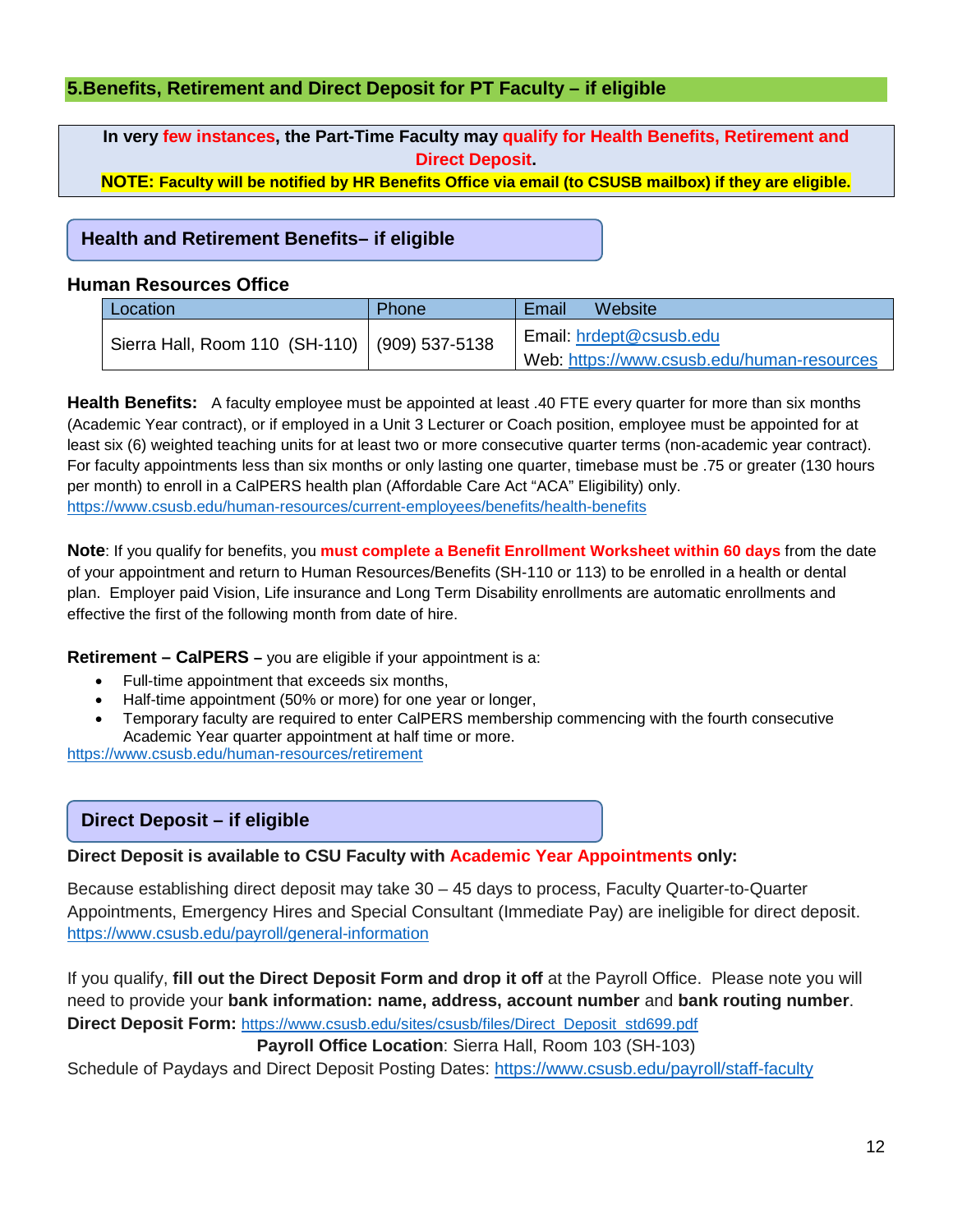### <span id="page-11-0"></span>**5.Benefits, Retirement and Direct Deposit for PT Faculty – if eligible**

**In very few instances, the Part-Time Faculty may qualify for Health Benefits, Retirement and Direct Deposit.** 

**NOTE: Faculty will be notified by HR Benefits Office via email (to CSUSB mailbox) if they are eligible.**

#### **Health and Retirement Benefits– if eligible**

#### **Human Resources Office**

| Location                                        | Phone | Website<br>Email                                                      |
|-------------------------------------------------|-------|-----------------------------------------------------------------------|
| Sierra Hall, Room 110 (SH-110)   (909) 537-5138 |       | Email: hrdept@csusb.edu<br>Web: https://www.csusb.edu/human-resources |

**Health Benefits:** A faculty employee must be appointed at least .40 FTE every quarter for more than six months (Academic Year contract), or if employed in a Unit 3 Lecturer or Coach position, employee must be appointed for at least six (6) weighted teaching units for at least two or more consecutive quarter terms (non-academic year contract). For faculty appointments less than six months or only lasting one quarter, timebase must be .75 or greater (130 hours per month) to enroll in a CalPERS health plan (Affordable Care Act "ACA" Eligibility) only. <https://www.csusb.edu/human-resources/current-employees/benefits/health-benefits>

**Note**: If you qualify for benefits, you **must complete a Benefit Enrollment Worksheet within 60 days** from the date of your appointment and return to Human Resources/Benefits (SH-110 or 113) to be enrolled in a health or dental plan. Employer paid Vision, Life insurance and Long Term Disability enrollments are automatic enrollments and effective the first of the following month from date of hire.

**Retirement – CalPERS –** you are eligible if your appointment is a:

- Full-time appointment that exceeds six months,
- Half-time appointment (50% or more) for one year or longer,
- Temporary faculty are required to enter CalPERS membership commencing with the fourth consecutive Academic Year quarter appointment at half time or more.

<https://www.csusb.edu/human-resources/retirement>

#### **Direct Deposit – if eligible**

**Direct Deposit is available to CSU Faculty with Academic Year Appointments only:**

Because establishing direct deposit may take 30 – 45 days to process, Faculty Quarter-to-Quarter Appointments, Emergency Hires and Special Consultant (Immediate Pay) are ineligible for direct deposit. <https://www.csusb.edu/payroll/general-information>

If you qualify, **fill out the Direct Deposit Form and drop it off** at the Payroll Office. Please note you will need to provide your **bank information: name, address, account number** and **bank routing number**. **Direct Deposit Form:** [https://www.csusb.edu/sites/csusb/files/Direct\\_Deposit\\_std699.pdf](https://www.csusb.edu/sites/csusb/files/Direct_Deposit_std699.pdf)

#### **Payroll Office Location**: Sierra Hall, Room 103 (SH-103)

Schedule of Paydays and Direct Deposit Posting Dates:<https://www.csusb.edu/payroll/staff-faculty>